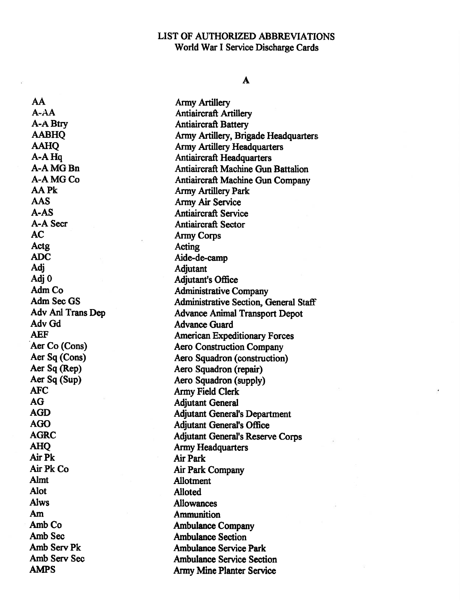#### A

AA Army Artillery AAS Army Air Service A-A Secretion and Antiaircraft Sector AC Army Corps Actg Acting ADC Aide-de-camp Adj Adjutant Adj 0 Adv Gd Advance Guard AFC Army Field Clerk AG Adjutant General AHQ Army Headquarters AirPk Air Park Air Pk Co Air Park Company<br>Almt Allotment Alot Alloted Aiws Allowances Am Ammunition Amb Sec Ambulance Section

A-AA Antiaircraft Artillery A-A Btry **Antiaircraft Battery** AABHQ Army Artillery, Brigade Headquarters AAHQ Army Artillery Headquarters A-A Hq<br>
A-A MG Bn<br>
A-A MG Bn<br>
Antiaircraft Machine Gun Antiaircraft Machine Gun Battalion A-A MG Co Antiaircraft Machine Gun Company AA Pk Army Artillery Park A-AS Antiaircraft Service <sup>0</sup> Adjutant's Office Adm Co Administrative Company<br>Adm Sec GS Administrative Section C Administrative Section, General Staff Adv Ani Trans Dep Advance Animal Transport Depot AEF American Expeditionary Forces Aer Co (Cons) Aero Construction Company Aer Sq (Cons) Aero Squadron (construction) Aer Sq (Rep) Aero Squadron (repair) Aer Sq (Sup) Aero Squadron (supply) AGD Adjutant General's Department AGO Adjutant General's Office AGRC Adjutant General's Reserve Corps **Allotment** Amb Co **Ambulance Company** Amb Serv Pk **Ambulance Service Park** Amb Serv Sec **Ambulance Service Section** AMPS Army Mine Planter Service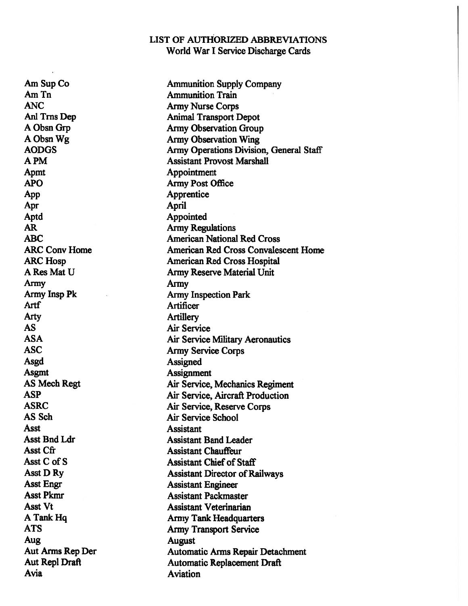Am Sup Co Ammunition Supply Company Am Tn **Ammunition** Train ANC Army Nurse Corps Animal Transport Depot A Obsn Grp Army Observation Group A Obsn Wg Army Observation Wing AODGS Army Operations Division, General Staff A PM Assistant Provost Marshall Appointment APO Army Post Office App Apprentice Apr **April** Aptd Appointed AR Army Regulations<br>
ARC American National **American National Red Cross** ARC Conv Home **American Red Cross Convalescent Home** ARC Hosp **American Red Cross Hospital** A Res Mat U Army Reserve Material Unit Army Army Army Insp Pk **Army Inspection Park** Artf Artificer Arty Artillery AS Air Service ASA Air Service Military Aeronautics ASC Army Service Corps Asgd **Assigned** Asgmt Assignment AS Mech Regt **Air Service, Mechanics Regiment** ASP Air Service, Aircraft Production ASRC Air Service, Reserve Corps AS Sch Air Service School Asst **Assistant** Asst Bnd Ldr Assistant Band Leader Asst Cfr **Assistant Chauffeur** Asst C of S Assistant Chief of Staff Asst D Ry Assistant Director of Railways Asst Engr Assistant Engineer Asst Pkmr Assistant Packmaster Asst Vt Assistant Veterinarian A Tank Hq Army Tank Headquarters ATS Army Transport Service August<br>
Aut Arms Rep Der<br>
Automa Automatic Arms Repair Detachment Aut Repl Draft **Automatic Replacement Draft** Avia Aviation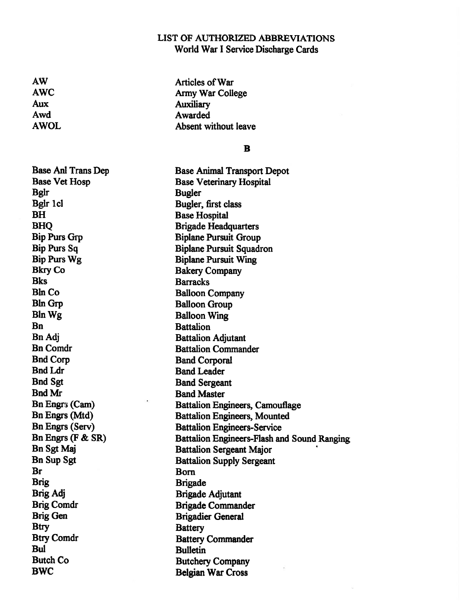AW Articles of War AWC Army War College Aux Auxiliary Awd Awarded AWOL Absent without leave

#### B

Bglr Bugler Bglr 1 ci<br>Bugler, first class<br>BH<br>Base Hospital Bkry Co Bakery Company Bks Barracks Bin Co Balloon Company Bin Grp Balloon Group Bln Wg Balloon Wing Bn Battalion Bn Adj Battalion Adjutant Bnd Corp Band Corporal Bnd Ldr Band Leader Bnd Sgt Band Sergeant Bnd Mr Band Master Bn Engrs (F & SR) Br Born Brigade Brigade Brig Adj Brigade Adjutant Brig Gen Brigadier General Btry Battery Btry Comdr Battery Commander Bul Bulletin Butch Co Butchery Company BWC Belgian War Cross

Base Ani Trans Dep Base Animal Transport Depot Base Vet Hosp Base Veterinary Hospital **Base Hospital** BHQ Brigade Headquarters Bip Purs Grp Biplane Pursuit Group Bip Purs Sq Biplane Pursuit Squadron Bip Purs Wg Biplane Pursuit Wing Bn Comdr Battalion Commander Bn Engr<sub>3</sub> (Cam) Battalion Engineers, Camouflage Bn Engrs (Mtd) Battalion Engineers, Mounted Bn Engrs (Serv) Battalion Engineers-Service Battalion Engineers-Flash and Sound Ranging Bn Sgt Maj Battalion Sergeant Major Bn Sup Sgt Battalion Supply Sergeant Brig Comdr Brigade Commander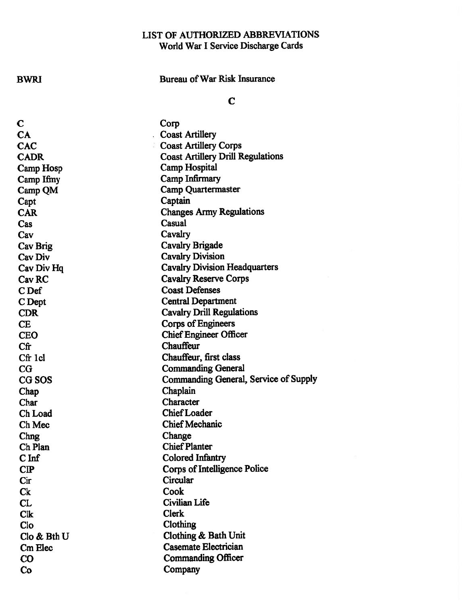# BWRI Bureau of War Risk Insurance

## C

ir.

| С                 | Corp                                     |
|-------------------|------------------------------------------|
| CA                | <b>Coast Artillery</b>                   |
| <b>CAC</b>        | <b>Coast Artillery Corps</b>             |
| <b>CADR</b>       | <b>Coast Artillery Drill Regulations</b> |
| Camp Hosp         | <b>Camp Hospital</b>                     |
| Camp Ifmy         | Camp Infirmary                           |
| Camp QM           | <b>Camp Quartermaster</b>                |
| Capt              | Captain                                  |
| <b>CAR</b>        | <b>Changes Army Regulations</b>          |
| Cas               | Casual                                   |
| Cav               | Cavalry                                  |
| Cav Brig          | Cavalry Brigade                          |
| Cav Div           | <b>Cavalry Division</b>                  |
| Cav Div Hq        | <b>Cavalry Division Headquarters</b>     |
| Cav <sub>RC</sub> | <b>Cavalry Reserve Corps</b>             |
| C <sub>Def</sub>  | <b>Coast Defenses</b>                    |
| C Dept            | <b>Central Department</b>                |
| <b>CDR</b>        | <b>Cavalry Drill Regulations</b>         |
| CE                | Corps of Engineers                       |
| <b>CEO</b>        | <b>Chief Engineer Officer</b>            |
| Cfr               | Chauffeur                                |
| Cfr 1cl           | Chauffeur, first class                   |
| $_{\rm CG}$       | <b>Commanding General</b>                |
| CG SOS            | Commanding General, Service of Supply    |
| Chap              | Chaplain                                 |
| Char              | Character                                |
| Ch Load           | <b>Chief Loader</b>                      |
| Ch Mec            | <b>Chief Mechanic</b>                    |
| Chng              | Change                                   |
| Ch Plan           | <b>Chief Planter</b>                     |
| $C$ Inf           | Colored Infantry                         |
| $\bf CP$          | Corps of Intelligence Police             |
| Cir               | Circular                                 |
| $C_{k}$           | Cook                                     |
| CL                | <b>Civilian Life</b>                     |
| <b>Clk</b>        | <b>Clerk</b>                             |
| Clo               | Clothing                                 |
| Clo & Bth U       | Clothing & Bath Unit                     |
| <b>Cm Elec</b>    | <b>Casemate Electrician</b>              |
| CO                | <b>Commanding Officer</b>                |
| Co                | Company                                  |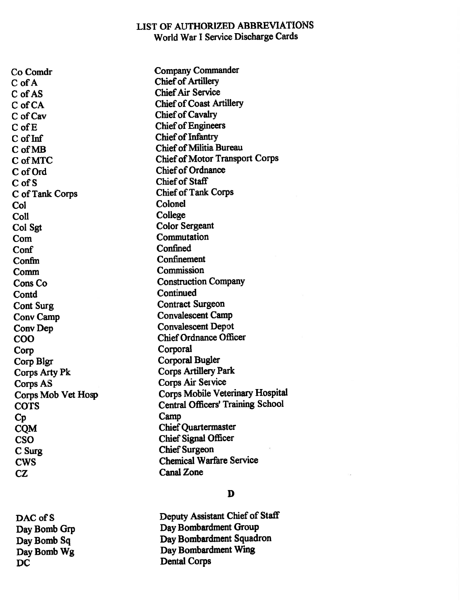C of A C of AS Chief Air Service C of CA Chief of Coast Artillery C of Cav Chief of Cavalry C of E C of Inf Chief of Infantry C of MB Chief of Militia Bureau C of Order Chief of Ordnance C of S Chief of Staff C of Tank Corps Chief of Tank Corps Col Colonel Coll College Col Sgt Color Sergeant Commutation Commutation Conf Confined Confm Confinement Comm Commission Cons Co Construction Company Contd Continued Cont Surg Contract Surgeon Cony Camp Convalescent Camp Conv Dep Convalescent Depot Corp Corporal Corp Blgr Corporal Bugler Corps Arty Pk Corps Artillery Park Corps AS Corps Air Service Cp Camp COM Chief Quartermaster CSO Chief Signal Officer <sup>C</sup> Surg Chief Surgeon CZ Canal Zone

DAC of S

Co Comdr Company Commander **Chief of Artillery** Chief of Engineers C of MTC Chief of Motor Transport Corps COO Chief Ordnance Officer Corps Mob Vet Hosp Corps Mobile Veterinary Hospital co'rs Central Officers' Training School CWS Chemical Warfare Service

### D

Deputy Assistant Chief of Staff Day Bomb Grp Day Bombardment Group Day Bomb Sq Day Bombardment Squadron Day Bomb Wg Day Bombardment Wing DC Dental Corps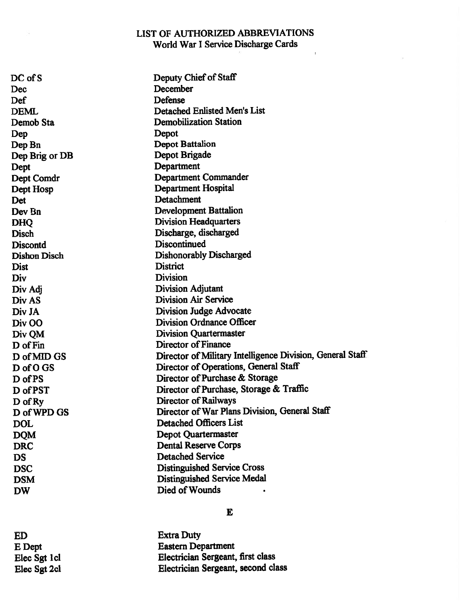$\bar{\mathbf{r}}$ 

| $DC$ of S           | Deputy Chief of Staff                                     |
|---------------------|-----------------------------------------------------------|
| Dec                 | December                                                  |
| Def                 | Defense                                                   |
| <b>DEML</b>         | Detached Enlisted Men's List                              |
| Demob Sta           | <b>Demobilization Station</b>                             |
| Dep                 | Depot                                                     |
| Dep Bn              | <b>Depot Battalion</b>                                    |
| Dep Brig or DB      | Depot Brigade                                             |
| Dept                | Department                                                |
| Dept Comdr          | <b>Department Commander</b>                               |
| Dept Hosp           | Department Hospital                                       |
| Det                 | Detachment                                                |
| Dev Bn              | <b>Development Battalion</b>                              |
| <b>DHQ</b>          | <b>Division Headquarters</b>                              |
| <b>Disch</b>        | Discharge, discharged                                     |
| <b>Discontd</b>     | Discontinued                                              |
| <b>Dishon Disch</b> | <b>Dishonorably Discharged</b>                            |
| Dist                | <b>District</b>                                           |
| Div                 | <b>Division</b>                                           |
| Div Adj             | <b>Division Adjutant</b>                                  |
| Div AS              | <b>Division Air Service</b>                               |
| Div JA              | <b>Division Judge Advocate</b>                            |
| Div OO              | <b>Division Ordnance Officer</b>                          |
| Div QM              | <b>Division Quartermaster</b>                             |
| D of Fin            | <b>Director of Finance</b>                                |
| D of MID GS         | Director of Military Intelligence Division, General Staff |
| D of O GS           | Director of Operations, General Staff                     |
| D of PS             | Director of Purchase & Storage                            |
| D of PST            | Director of Purchase, Storage & Traffic                   |
| $\bf D$ of Ry       | Director of Railways                                      |
| D of WPD GS         | Director of War Plans Division, General Staff             |
| <b>DOL</b>          | <b>Detached Officers List</b>                             |
| <b>DQM</b>          | <b>Depot Quartermaster</b>                                |
| <b>DRC</b>          | <b>Dental Reserve Corps</b>                               |
| <b>DS</b>           | <b>Detached Service</b>                                   |
| <b>DSC</b>          | <b>Distinguished Service Cross</b>                        |
| <b>DSM</b>          | Distinguished Service Medal                               |
| <b>DW</b>           | Died of Wounds                                            |

#### E

ED Extra Duty<br>
E Dept Eastern De E Dept<br>
E Dept<br>
Elec Sgt 1cl<br>
Electrician Sergeant, Elec Sgt 1 cl Electrician Sergeant, first class<br>Elec Sgt 2 cl Electrician Sergeant, second cla Electrician Sergeant, second class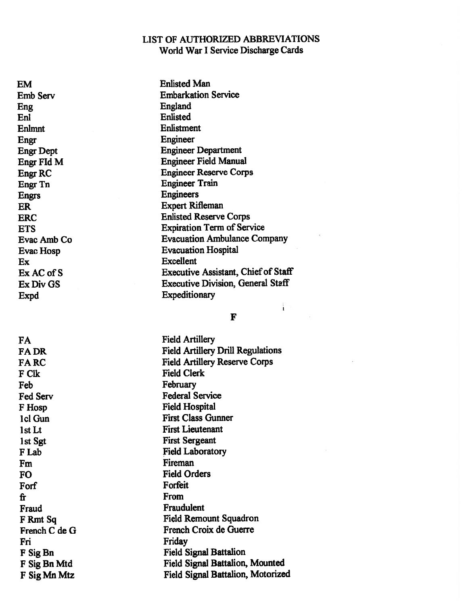EM Enlisted Man Eng England En! Enlisted Enlmnt Enlistment Engr Engineer Engr FId Engrs Engineers Ex Excellent Ex AC of S Expd Expeditionary

FA Field Artillery F Clk Field Clerk February **February** F Hosp Field Hospital 1st Sgt First Sergeant Fm Fireman FO Field Orders Forf Forfeit fr From From From  $\mathbf{F}$ Fraud Fraudulent French C de Friday Friday

Emb Serv Embarkation Service Engr Dept Engineer Department **Engineer Field Manual** Engr RC Engineer Reserve Corps Engr Tn Engineer Train ER Expert Rifleman ERC Enlisted Reserve Corps ETS Expiration Term of Service Evac Amb Co Evacuation Ambulance Company Evac Hosp **Evacuation** Hospital Executive Assistant, Chief of Staff Ex Div GS Executive Division, General Staff

#### F

i.

FA DR Field Artillery Drill Regulations FA RC Field Artillery Reserve Corps Fed Service<br>Federal Service 1cl Gun First Class Gunner 1st Lt First Lieutenant F Lab Field Laboratory F Rmt Sq Field Remount Squadron French Croix de Guerre F Sig Bn Field Signal Battalion F Sig Bn Mtd Field Signal Battalion, Mounted F Sig Mn Mtz Field Signal Battalion, Motorized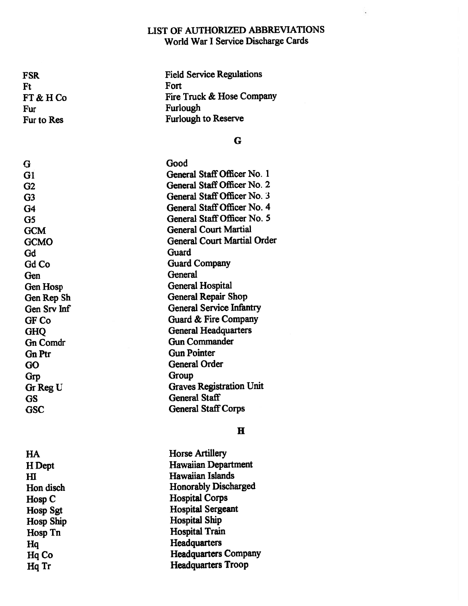Ft Fort FT & Fur Furlough

G Good Gd Guard General General General GF Co Gn Ptr Gun Pointer Grp Group Gr Reg U

H

Hosp<sub>C</sub> Hosp Ship Hospital Ship

FSR Field Service Regulations H Co Fire Truck & Hose Company Fur to Res Furlough to Reserve

#### G

Gi General Staff Officer No. 1 G2 General Staff Officer No. 2 G3 General Staff Officer No. 3 G4 General Staff Officer No. 4 G5 General Staff Officer No. 5 GCM General Court Martial GCMO General Court Martial Order Gd Co Guard Company Gen Hosp General Hospital Gen Rep Sh General Repair Shop Gen Srv Inf General Service Infantry Guard & Fire Company GHO General Headquarters Gn Comdr Gun Commander GO General Order Graves Registration Unit GS General Staff GSC General Staff Corps

# HA Horse Artillery H Dept Hawaiian Department HI Hawaiian Islands Hon disch Honorably Discharged Hospital Corps Hosp Sgt Hospital Sergeant Hosp Tn Hospital Train Hq Headquarters Headquarters Company Hq Tr **Headquarters Troop**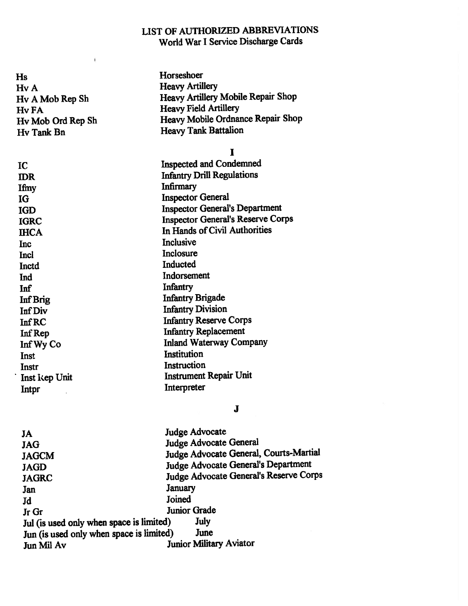| Hs                | Horseshoer                                |
|-------------------|-------------------------------------------|
| Hv A.             | <b>Heavy Artillery</b>                    |
| Hy A Mob Rep Sh   | <b>Heavy Artillery Mobile Repair Shop</b> |
| Hv FA             | <b>Heavy Field Artillery</b>              |
| Hv Mob Ord Rep Sh | Heavy Mobile Ordnance Repair Shop         |
| Hv Tank Bn        | <b>Heavy Tank Battalion</b>               |
|                   | I                                         |
| IC                | <b>Inspected and Condemned</b>            |
| <b>IDR</b>        | <b>Infantry Drill Regulations</b>         |
| Ifmy              | <b>Infirmary</b>                          |
| IG                | <b>Inspector General</b>                  |
| <b>IGD</b>        | <b>Inspector General's Department</b>     |
| <b>IGRC</b>       | <b>Inspector General's Reserve Corps</b>  |
| <b>IHCA</b>       | In Hands of Civil Authorities             |
| Inc               | <b>Inclusive</b>                          |
| Incl              | Inclosure                                 |
| Inctd             | Inducted                                  |
| Ind               | Indorsement                               |
| Inf               | Infantry                                  |
| Inf Brig          | <b>Infantry Brigade</b>                   |
| <b>Inf Div</b>    | <b>Infantry Division</b>                  |
| <b>InfRC</b>      | <b>Infantry Reserve Corps</b>             |
| Inf Rep           | <b>Infantry Replacement</b>               |
| Inf Wy Co         | <b>Inland Waterway Company</b>            |
| Inst              | Institution                               |
| Instr             | Instruction                               |
| Inst kep Unit     | <b>Instrument Repair Unit</b>             |
| Intpr             | Interpreter                               |
|                   | J                                         |
| JA                | <b>Judge Advocate</b>                     |
| <b>JAG</b>        | Judge Advocate General                    |
| <b>JAGCM</b>      | Judge Advocate General, Courts-Martial    |

Ï.

JAGD Judge Advocate General's Department

JAGRC Judge Advocate General's Reserve Corps

Jan January Jd Joined

Junior Grade<br>Juli (is used only when space is limited) July Jul (is used only when space is limited) July<br>
Iun (is used only when space is limited) June Jun (is used only when space is limited)<br>Jun Mil Av Ju Junior Military Aviator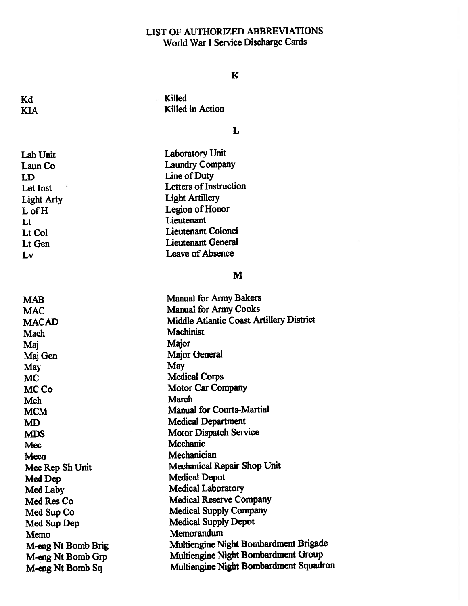### K

Kd Killed Killed in Action

## L

| Lab Unit          | <b>Laboratory Unit</b>        |
|-------------------|-------------------------------|
| Laun Co           | <b>Laundry Company</b>        |
| LD                | Line of Duty                  |
| Let Inst          | <b>Letters of Instruction</b> |
| <b>Light Arty</b> | <b>Light Artillery</b>        |
| $L$ of $H$        | Legion of Honor               |
| Lt                | Lieutenant                    |
| Lt Col            | <b>Lieutenant Colonel</b>     |
| Lt Gen            | <b>Lieutenant General</b>     |
| Lv                | Leave of Absence              |

Lab Unit

### M

| <b>Manual for Army Cooks</b><br><b>MAC</b>                      |  |
|-----------------------------------------------------------------|--|
|                                                                 |  |
| <b>Middle Atlantic Coast Artillery District</b><br><b>MACAD</b> |  |
| <b>Machinist</b><br>Mach                                        |  |
| Major<br>Maj                                                    |  |
| <b>Major General</b><br>Maj Gen                                 |  |
| May<br>May                                                      |  |
| <b>Medical Corps</b><br><b>MC</b>                               |  |
| <b>Motor Car Company</b><br>MC Co                               |  |
| March<br>Mch                                                    |  |
| <b>Manual for Courts-Martial</b><br><b>MCM</b>                  |  |
| <b>Medical Department</b><br><b>MD</b>                          |  |
| <b>Motor Dispatch Service</b><br><b>MDS</b>                     |  |
| Mechanic<br>Mec                                                 |  |
| Mechanician<br>Mecn                                             |  |
| <b>Mechanical Repair Shop Unit</b><br>Mec Rep Sh Unit           |  |
| <b>Medical Depot</b><br>Med Dep                                 |  |
| <b>Medical Laboratory</b><br>Med Laby                           |  |
| <b>Medical Reserve Company</b><br>Med Res Co                    |  |
| <b>Medical Supply Company</b><br>Med Sup Co                     |  |
| <b>Medical Supply Depot</b><br>Med Sup Dep                      |  |
| Memorandum<br>Memo                                              |  |
| Multiengine Night Bombardment Brigade<br>M-eng Nt Bomb Brig     |  |
| Multiengine Night Bombardment Group<br>M-eng Nt Bomb Grp        |  |
| Multiengine Night Bombardment Squadron<br>M-eng Nt Bomb Sq      |  |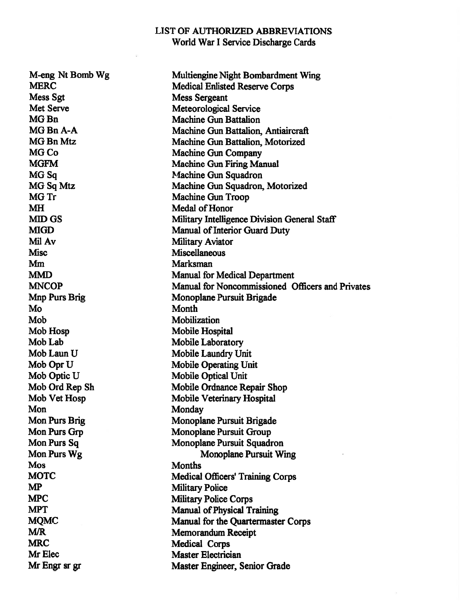M-eng Nt Bomb Wg Multiengine Night Bombardment Wing MERC Medical Enlisted Reserve Corps Mess Sgt Mess Sergeant Met Serve Meteorological Service MG Bn Machine Gun Battalion MG Bn A-A Machine Gun Battalion, Antiaircraft MG Bn Mtz Machine Gun Battalion, Motorized MG Co Machine Gun Company MGFM Machine Gun Firing Manual MG Sq Machine Gun Squadron MG Sq Mtz Machine Gun Squadron, Motorized MG Tr Machine Gun Troop MH Medal of Honor MID GS Military Intelligence Division General Staff MIGD Manual of Interior Guard Duty Mil Av Military Aviator Misc Miscellaneous Marksman Mm MMD Manual for Medical Department MNCOP Manual for Noncommissioned Officers and Privates Mnp Purs Brig Monoplane Pursuit Brigade Mo **Month** Mobilization Mob Hosp Mobile Hospital Mob Lab Mobile Laboratory Mob Laun U Mobile Laundry Unit Mob Opr U Mobile Operating Unit Mob Optic U Mobile Optical Unit Mob Ord Rep Sh Mobile Ordnance Repair Shop Mob Vet Hosp Mobile Veterinary Hospital Monday Monday Mon Purs Brig Monoplane Pursuit Brigade Mon Purs Grp Monoplane Pursuit Group Mon Purs Sq Monoplane Pursuit Squadron Mon Purs Wg Monoplane Pursuit Wing Mos Months MOTC Medical Officers' Training Corps MP Military Police MPC Military Police Corps MPT Manual of Physical Training MQMC Manual for the Quartermaster Corps M/R Memorandum Receipt MRC Medical Corps Mr Elec Master Electrician Mr Engr sr gr Master Engineer, Senior Grade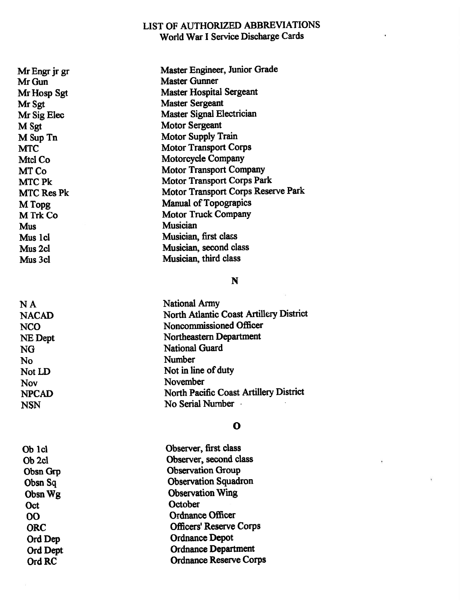Mr Engr jr gr Master Engineer, Junior Grade Mr Gun Master Gunner Mr Hosp Sgt Master Hospital Sergeant Mr Sgt Master Sergeant Mr Sig Elec Master Signal Electrician M Sgt Motor Sergeant<br>
M Sup Tn Motor Supply T Motor Supply Train MTC Motor Transport Corps Mtcl Co Motorcycle Company MT Co Motor Transport Company MTC Pk Motor Transport Corps Park MTC Res Pk Motor Transport Corps Reserve Park M Topg Manual of Topograpics M Trk Co Motor Truck Company Musician Musician Mus 1 cl Musician, first class Mus 2cl Musician, second class Mus 3cl Musician, third class

**NA** 

#### N

**National Army** NACAI) North Atlantic Coast Artillery District NCO Noncommissioned Officer NE Dept Northeastern Department NG National Guard No Number Not LD Not in line of duty Nov November NPCAD North Pacific Coast Artillery District NSN No Serial Number

#### $\mathbf{o}$

| Ob 1cl          | Observer, first class          |
|-----------------|--------------------------------|
| Ob 2cl          | Observer, second class         |
| <b>Obsn Grp</b> | <b>Observation Group</b>       |
| Obsn Sq         | <b>Observation Squadron</b>    |
| Obsn Wg         | <b>Observation Wing</b>        |
| Oct             | October                        |
| OO              | <b>Ordnance Officer</b>        |
| <b>ORC</b>      | <b>Officers' Reserve Corps</b> |
| Ord Dep         | <b>Ordnance Depot</b>          |
| Ord Dept        | <b>Ordnance Department</b>     |
| Ord RC          | <b>Ordnance Reserve Corps</b>  |
|                 |                                |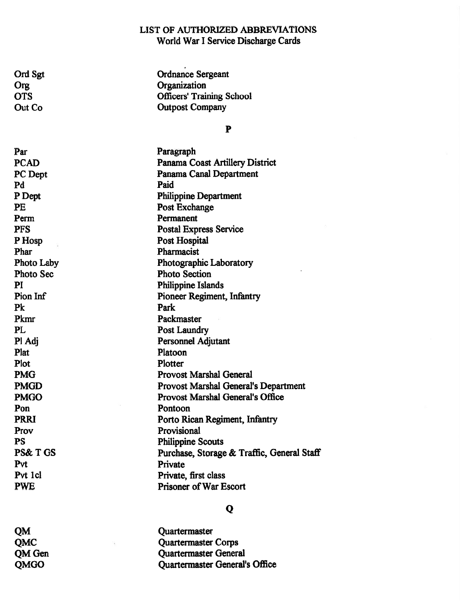Ord Sgt **Ordnance Sergeant** Org<br>
Organization<br>
OTS<br>
Officers' Train OTS Officers' Training School<br>Out Co Outpost Company Outpost Company

### P

| Par                | Paragraph                                  |
|--------------------|--------------------------------------------|
| <b>PCAD</b>        | <b>Panama Coast Artillery District</b>     |
| PC Dept            | Panama Canal Department                    |
| Pd                 | Paid                                       |
| P Dept             | <b>Philippine Department</b>               |
| <b>PE</b>          | Post Exchange                              |
| Perm               | Permanent                                  |
| <b>PFS</b>         | <b>Postal Express Service</b>              |
| P Hosp             | Post Hospital                              |
| Phar               | Pharmacist                                 |
| <b>Photo Laby</b>  | Photographic Laboratory                    |
| <b>Photo Sec</b>   | <b>Photo Section</b>                       |
| PI                 | <b>Philippine Islands</b>                  |
| Pion Inf           | <b>Pioneer Regiment, Infantry</b>          |
| Pk                 | Park                                       |
| Pkmr               | Packmaster                                 |
| <b>PL</b>          | <b>Post Laundry</b>                        |
| Pl Adj             | Personnel Adjutant                         |
| Plat               | Platoon                                    |
| Plot               | Plotter                                    |
| <b>PMG</b>         | <b>Provost Marshal General</b>             |
| <b>PMGD</b>        | Provost Marshal General's Department       |
| <b>PMGO</b>        | <b>Provost Marshal General's Office</b>    |
| Pon                | Pontoon                                    |
| <b>PRRI</b>        | Porto Rican Regiment, Infantry             |
| Prov               | Provisional                                |
| <b>PS</b>          | <b>Philippine Scouts</b>                   |
| <b>PS&amp;T GS</b> | Purchase, Storage & Traffic, General Staff |
| Pvt                | Private                                    |
| Pvt 1cl            | Private, first class                       |
| <b>PWE</b>         | <b>Prisoner of War Escort</b>              |

## Q

QM Quartermaster QMC Quartermaster Corps QM Gen Quartermaster General QMGO Quartermaster General's Office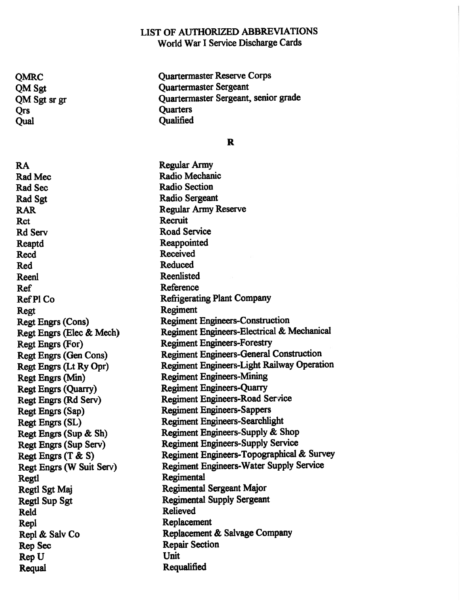QMRC Quartermaster Reserve Corps QM Sgt Quartermaster Sergeant QM Sgt sr gr Quartermaster Sergeant, senior grade Qrs Quarters Qual Qualified

R

RA Regular Army Rad Mec Radio Mechanic Rad Sec Radio Section Rad Sgt Radio Sergeant RAR Regular Army Reserve Rct Recruit Rd Service Road Service Reaptd Reappointed Received Received Red Reduced Reenlisted Reenlisted Ref Reference Regt Regiment Regt Engrs (Elec Regt Engrs (Sup Regt Engrs (T Regtl Regimental Reld Relieved Replacement Repl & Salv Co Rep Sec Repair Section Rep Requal Requalified

Ref P1 Co Refrigerating Plant Company Regt Engrs (Cons) Regiment Engineers-Construction & Mech) Regiment Engineers-Electrical & Mechanical Regt Engrs (For) Regiment Engineers-Forestry Regt Engrs (Gen Cons) Regiment Engineers-General Construction Regt Engrs (Lt Ry Opr) Regiment Engineers-Light Railway Operation Regt Engrs (Min) Regiment Engineers-Mining Regt Engrs (Quarry) Regiment Engineers-Quarry Regt Engrs (Rd Serv) Regiment Engineers-Road Service Regt Engrs (Sap) Regiment Engineers-Sappers Regt Engrs (SL) Regiment Engineers-Searchlight & Sh) Regiment Engineers-Supply & Shop Regt Engrs (Sup Serv) Regiment Engineers-Supply Service & S) Regiment Engineers-Topographical & Survey Regt Engrs (W Suit Serv) Regiment Engineers-Water Supply Service Regtl Sgt Maj Regimental Sergeant Major Regtl Sup Sgt Regimental Supply Sergeant & Salv Co Replacement & Salvage Company **Unit**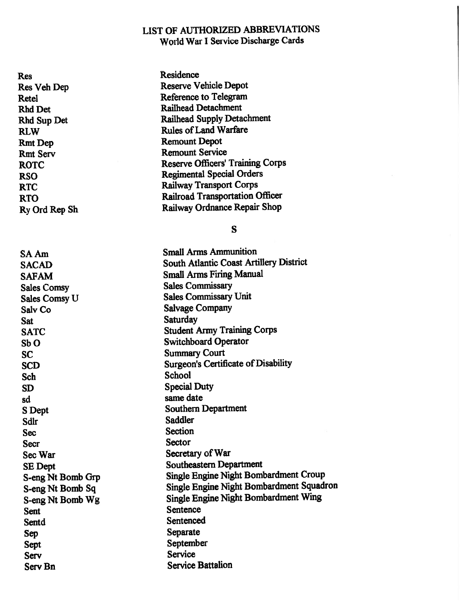Res Residence Rmt Dep Remount Depot

Res Veh Dep Reserve Vehicle Depot Retel Reference to Telegram Rhd Det Railhead Detachment Railhead Supply Detachment RLW Rules of Land Warfare Rmt Serv<br>Rmt Service<br>Remount Service ROTC Reserve Officers' Training Corps RSO Regimental Special Orders RTC Railway Transport Corps RTO Railroad Transportation Officer Ry Ord Rep Sh Railway Ordnance Repair Shop

S

| SA Am                | <b>Small Arms Ammunition</b>               |
|----------------------|--------------------------------------------|
| <b>SACAD</b>         | South Atlantic Coast Artillery District    |
| <b>SAFAM</b>         | <b>Small Arms Firing Manual</b>            |
| <b>Sales Comsy</b>   | <b>Sales Commissary</b>                    |
| <b>Sales Comsy U</b> | <b>Sales Commissary Unit</b>               |
| Salv Co              | <b>Salvage Company</b>                     |
| Sat                  | Saturday                                   |
| <b>SATC</b>          | <b>Student Army Training Corps</b>         |
| SbO                  | <b>Switchboard Operator</b>                |
| <b>SC</b>            | <b>Summary Court</b>                       |
| <b>SCD</b>           | <b>Surgeon's Certificate of Disability</b> |
| <b>Sch</b>           | <b>School</b>                              |
| SD                   | <b>Special Duty</b>                        |
| sd                   | same date                                  |
| S Dept               | <b>Southern Department</b>                 |
| Sdlr                 | <b>Saddler</b>                             |
| <b>Sec</b>           | <b>Section</b>                             |
| <b>Secr</b>          | Sector                                     |
| Sec War              | Secretary of War                           |
| <b>SE</b> Dept       | <b>Southeastern Department</b>             |
| S-eng Nt Bomb Grp    | Single Engine Night Bombardment Croup      |
| S-eng Nt Bomb Sq     | Single Engine Night Bombardment Squadron   |
| S-eng Nt Bomb Wg     | Single Engine Night Bombardment Wing       |
| <b>Sent</b>          | <b>Sentence</b>                            |
| Sentd                | Sentenced                                  |
| Sep                  | Separate                                   |
| Sept                 | September                                  |
| Serv                 | <b>Service</b>                             |
| Serv Bn              | <b>Service Battalion</b>                   |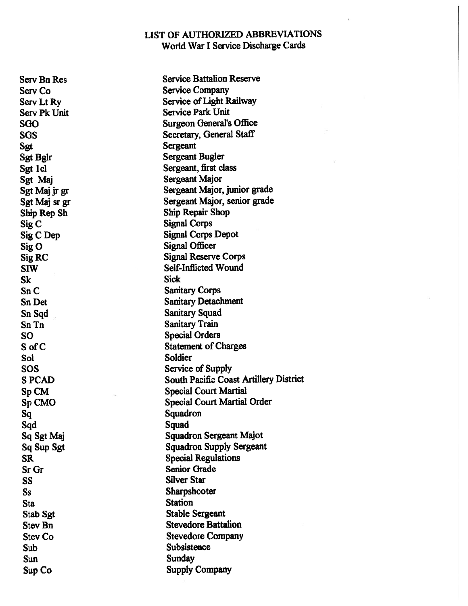Sgt Sergeant Sig<sub>C</sub> Sig C Dep Sig O Sk Sick Sn C Sn Tn Sanitary Train SO Special Orders S of Sol Soldier Sq Squadron Sqd Squad Sr Gr Senior Grade SS Silver Star Ss Sharpshooter Station Station Station Subsistence Subsistence Sun Sunday

Serv Bn Res Service Battalion Reserve Serv Co Service Company Serv Lt Ry Service of Light Railway Serv Pk Unit Service Park Unit SGO Surgeon General's Office SGS Secretary, General Staff Sgt Bglr Sergeant Bugler Sgt 1 cl Sergeant, first class Sgt Maj Sergeant Major Sgt Maj jr gr Sergeant Major, junior grade Sgt Maj sr gr Sergeant Major, senior grade Ship Rep Sh Ship Repair Shop Signal Corps Signal Corps Depot Signal Officer Sig RC Signal Reserve Corps SIW Self-Inflicted Wound **Sanitary Corps** Sn Det Sanitary Detachment Sn Sqd Sanitary Squad **Statement of Charges** SOS Service of Supply S PCAD South Pacific Coast Artillery District Sp CM Special Court Martial Sp CMO Special Court Martial Order Sq Sgt Maj Squadron Sergeant Majot Sq Sup Sgt Squadron Supply Sergeant SR Special Regulations Stab Sgt Stable Sergeant Stev Bn Stevedore Battalion Stev Co Stevedore Company Sup Co Supply Company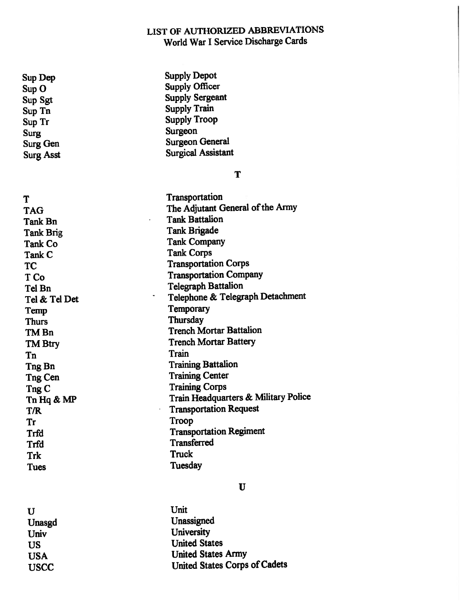T

Supply Officer

Sup Dep Supply Depot Sup O Sup Sgt Supply Sergeant Sup Tn Supply Train Supply Troop Surg Surgeon Surg Gen Surgeon General Surg Asst Surgical Assistant

T Transportation TAG TAG THE Adjutant General of the Army Tank Bn<br>Tank Battalion Tank Brigade Tank Brigade Tank Co<sup>T</sup> Tank Company Tank<sub>C</sub> **Tank Corps** Transportation Corps T Co Transportation Company Tel Bn Telegraph Battalion Tel & Tel Det & Tel Det Telephone & Telegraph Detachment Temp Temporary Thurs Thursday TM Bn Trench Mortar Battalion TM Btry Trench Mortar Battery Tn Train Tng Bn Training Battalion Tng Cen Training Center Tng C **Training Corps** Tn Hq & MP Train Headquarters & Military Police T/R Transportation Request Tr Troop Trfd Transportation Regiment Trfd Transferred Trk Truck Tues Tuesday

 $\mathbf U$ 

U Unit Unasgd Unassigned University University US United States USA United States Army USCC United States Corps of Cadets